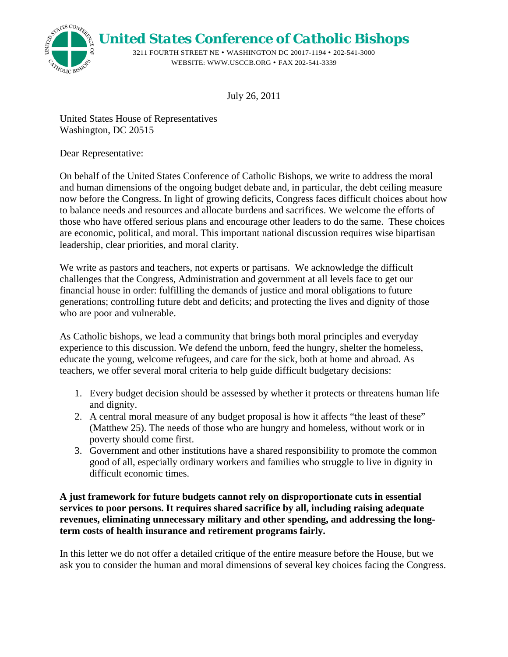*United States Conference of Catholic Bishops*

3211 FOURTH STREET NE • WASHINGTON DC 20017-1194 • 202-541-3000 WEBSITE: WWW.USCCB.ORG • FAX 202-541-3339

July 26, 2011

United States House of Representatives Washington, DC 20515

Dear Representative:

STATES CONTER

HOLIC BISH

On behalf of the United States Conference of Catholic Bishops, we write to address the moral and human dimensions of the ongoing budget debate and, in particular, the debt ceiling measure now before the Congress. In light of growing deficits, Congress faces difficult choices about how to balance needs and resources and allocate burdens and sacrifices. We welcome the efforts of those who have offered serious plans and encourage other leaders to do the same. These choices are economic, political, and moral. This important national discussion requires wise bipartisan leadership, clear priorities, and moral clarity.

We write as pastors and teachers, not experts or partisans. We acknowledge the difficult challenges that the Congress, Administration and government at all levels face to get our financial house in order: fulfilling the demands of justice and moral obligations to future generations; controlling future debt and deficits; and protecting the lives and dignity of those who are poor and vulnerable.

As Catholic bishops, we lead a community that brings both moral principles and everyday experience to this discussion. We defend the unborn, feed the hungry, shelter the homeless, educate the young, welcome refugees, and care for the sick, both at home and abroad. As teachers, we offer several moral criteria to help guide difficult budgetary decisions:

- 1. Every budget decision should be assessed by whether it protects or threatens human life and dignity.
- 2. A central moral measure of any budget proposal is how it affects "the least of these" (Matthew 25). The needs of those who are hungry and homeless, without work or in poverty should come first.
- 3. Government and other institutions have a shared responsibility to promote the common good of all, especially ordinary workers and families who struggle to live in dignity in difficult economic times.

## **A just framework for future budgets cannot rely on disproportionate cuts in essential services to poor persons. It requires shared sacrifice by all, including raising adequate revenues, eliminating unnecessary military and other spending, and addressing the longterm costs of health insurance and retirement programs fairly.**

In this letter we do not offer a detailed critique of the entire measure before the House, but we ask you to consider the human and moral dimensions of several key choices facing the Congress.